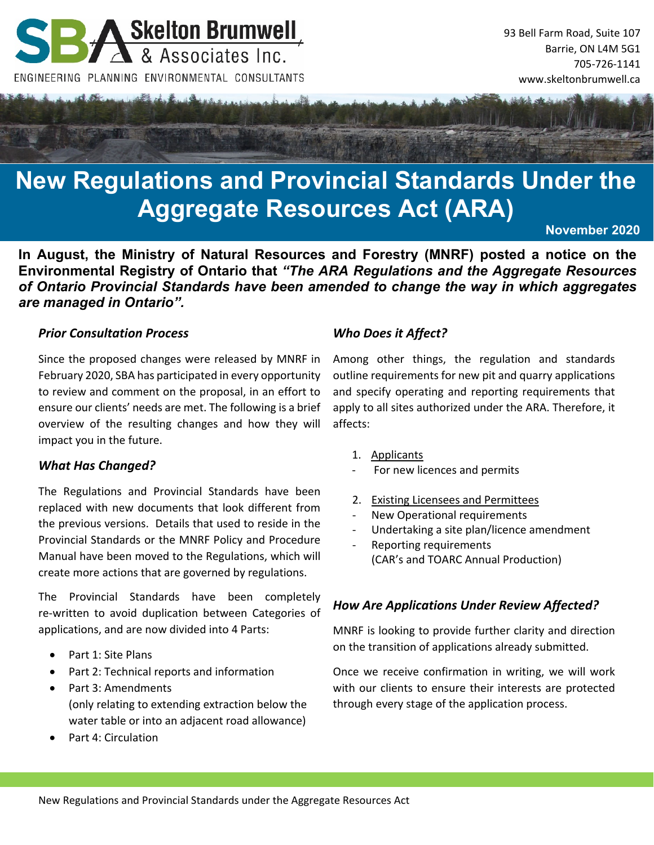

# **New Regulations and Provincial Standards Under the Aggregate Resources Act (ARA)**

**November 2020** 

**In August, the Ministry of Natural Resources and Forestry (MNRF) posted a notice on the Environmental Registry of Ontario that** *"The ARA Regulations and the Aggregate Resources of Ontario Provincial Standards have been amended to change the way in which aggregates are managed in Ontario".* 

## *Prior Consultation Process*

Since the proposed changes were released by MNRF in February 2020, SBA has participated in every opportunity to review and comment on the proposal, in an effort to ensure our clients' needs are met. The following is a brief overview of the resulting changes and how they will impact you in the future.

## *What Has Changed?*

The Regulations and Provincial Standards have been replaced with new documents that look different from the previous versions. Details that used to reside in the Provincial Standards or the MNRF Policy and Procedure Manual have been moved to the Regulations, which will create more actions that are governed by regulations.

The Provincial Standards have been completely re‐written to avoid duplication between Categories of applications, and are now divided into 4 Parts:

- Part 1: Site Plans
- Part 2: Technical reports and information
- Part 3: Amendments (only relating to extending extraction below the water table or into an adjacent road allowance)
- Part 4: Circulation

## *Who Does it Affect?*

Among other things, the regulation and standards outline requirements for new pit and quarry applications and specify operating and reporting requirements that apply to all sites authorized under the ARA. Therefore, it affects:

- 1. Applicants
- ‐ For new licences and permits
- 2. Existing Licensees and Permittees
- ‐ New Operational requirements
- Undertaking a site plan/licence amendment
- ‐ Reporting requirements (CAR's and TOARC Annual Production)

## *How Are Applications Under Review Affected?*

MNRF is looking to provide further clarity and direction on the transition of applications already submitted.

Once we receive confirmation in writing, we will work with our clients to ensure their interests are protected through every stage of the application process.